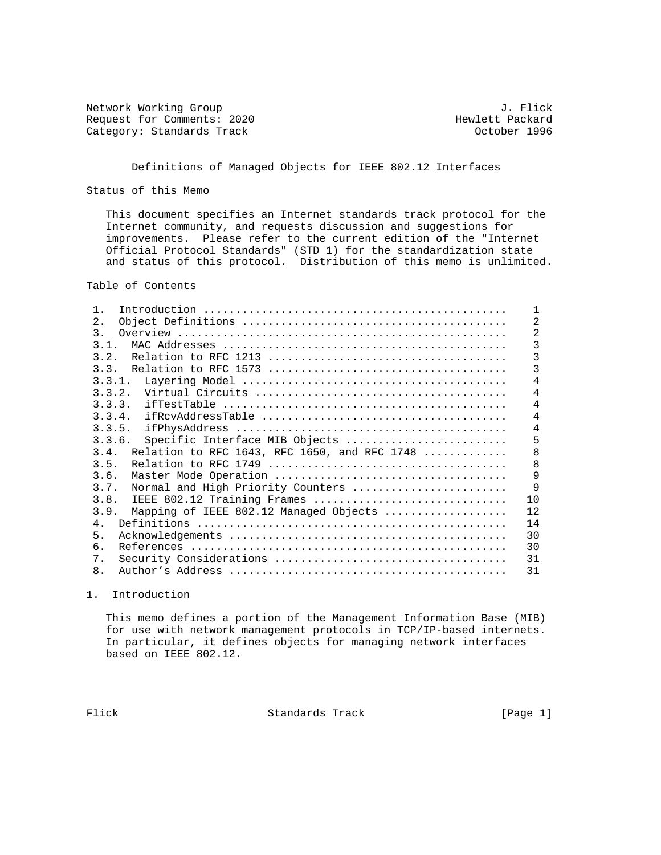Network Working Group and U.S. and T. Flick and U.S. The U.S. of the U.S. of the U.S. of the U.S. and T. Flick<br>
Request for Comments: 2020 and T.S. and T.S. Hewlett Packard Request for Comments: 2020 and Hewlett Packard (attegory: Standards Track and Hewlett Packard Category: Standards Track Category: Standards Track

# Definitions of Managed Objects for IEEE 802.12 Interfaces

Status of this Memo

 This document specifies an Internet standards track protocol for the Internet community, and requests discussion and suggestions for improvements. Please refer to the current edition of the "Internet Official Protocol Standards" (STD 1) for the standardization state and status of this protocol. Distribution of this memo is unlimited.

Table of Contents

| $1$ .                                                |                |
|------------------------------------------------------|----------------|
| $2$ .                                                | $\overline{2}$ |
| $\mathcal{R}$                                        | $\overline{2}$ |
| 3.1.                                                 | 3              |
| 3.2.                                                 | 3              |
| 3.3.                                                 | 3              |
| 3.3.1.                                               | 4              |
| 3.3.2.                                               | 4              |
| 3.3.3.                                               | 4              |
| 3.3.4.                                               | 4              |
| 3.3.5.                                               | 4              |
| 3.3.6.<br>Specific Interface MIB Objects             | 5              |
| Relation to RFC 1643, RFC 1650, and RFC 1748<br>3.4. | 8              |
| 3.5.                                                 | 8              |
| 3.6.                                                 | 9              |
| Normal and High Priority Counters<br>3.7.            | 9              |
| 3.8.<br>IEEE 802.12 Training Frames                  | 10             |
| 3.9.<br>Mapping of IEEE 802.12 Managed Objects       | 12             |
| 4.                                                   | 14             |
| 5.                                                   | 30             |
| б.                                                   | 30             |
| 7.                                                   | 31             |
| 8.                                                   | 31             |

1. Introduction

 This memo defines a portion of the Management Information Base (MIB) for use with network management protocols in TCP/IP-based internets. In particular, it defines objects for managing network interfaces based on IEEE 802.12.

Flick Standards Track [Page 1]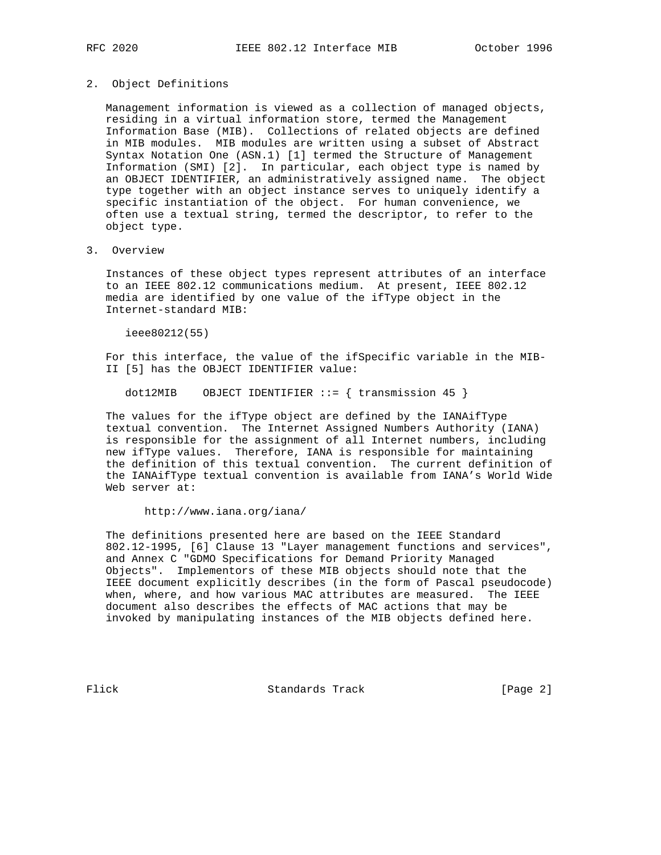#### 2. Object Definitions

 Management information is viewed as a collection of managed objects, residing in a virtual information store, termed the Management Information Base (MIB). Collections of related objects are defined in MIB modules. MIB modules are written using a subset of Abstract Syntax Notation One (ASN.1) [1] termed the Structure of Management Information (SMI) [2]. In particular, each object type is named by an OBJECT IDENTIFIER, an administratively assigned name. The object type together with an object instance serves to uniquely identify a specific instantiation of the object. For human convenience, we often use a textual string, termed the descriptor, to refer to the object type.

#### 3. Overview

 Instances of these object types represent attributes of an interface to an IEEE 802.12 communications medium. At present, IEEE 802.12 media are identified by one value of the ifType object in the Internet-standard MIB:

ieee80212(55)

 For this interface, the value of the ifSpecific variable in the MIB- II [5] has the OBJECT IDENTIFIER value:

dot12MIB OBJECT IDENTIFIER  $::=$  { transmission 45 }

 The values for the ifType object are defined by the IANAifType textual convention. The Internet Assigned Numbers Authority (IANA) is responsible for the assignment of all Internet numbers, including new ifType values. Therefore, IANA is responsible for maintaining the definition of this textual convention. The current definition of the IANAifType textual convention is available from IANA's World Wide Web server at:

http://www.iana.org/iana/

 The definitions presented here are based on the IEEE Standard 802.12-1995, [6] Clause 13 "Layer management functions and services", and Annex C "GDMO Specifications for Demand Priority Managed Objects". Implementors of these MIB objects should note that the IEEE document explicitly describes (in the form of Pascal pseudocode) when, where, and how various MAC attributes are measured. The IEEE document also describes the effects of MAC actions that may be invoked by manipulating instances of the MIB objects defined here.

Flick Standards Track [Page 2]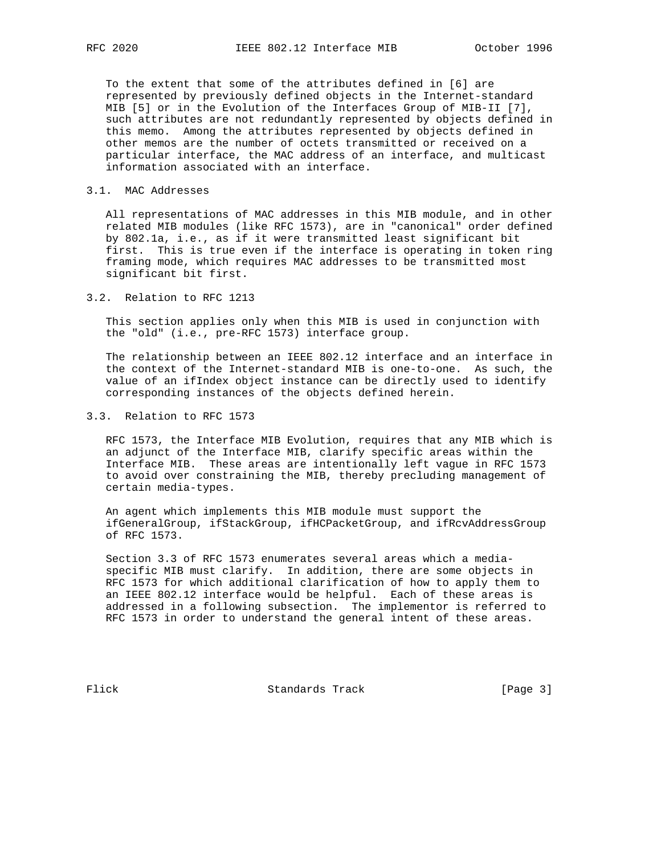To the extent that some of the attributes defined in [6] are represented by previously defined objects in the Internet-standard MIB [5] or in the Evolution of the Interfaces Group of MIB-II [7], such attributes are not redundantly represented by objects defined in this memo. Among the attributes represented by objects defined in other memos are the number of octets transmitted or received on a particular interface, the MAC address of an interface, and multicast information associated with an interface.

### 3.1. MAC Addresses

 All representations of MAC addresses in this MIB module, and in other related MIB modules (like RFC 1573), are in "canonical" order defined by 802.1a, i.e., as if it were transmitted least significant bit first. This is true even if the interface is operating in token ring framing mode, which requires MAC addresses to be transmitted most significant bit first.

3.2. Relation to RFC 1213

 This section applies only when this MIB is used in conjunction with the "old" (i.e., pre-RFC 1573) interface group.

 The relationship between an IEEE 802.12 interface and an interface in the context of the Internet-standard MIB is one-to-one. As such, the value of an ifIndex object instance can be directly used to identify corresponding instances of the objects defined herein.

3.3. Relation to RFC 1573

 RFC 1573, the Interface MIB Evolution, requires that any MIB which is an adjunct of the Interface MIB, clarify specific areas within the Interface MIB. These areas are intentionally left vague in RFC 1573 to avoid over constraining the MIB, thereby precluding management of certain media-types.

 An agent which implements this MIB module must support the ifGeneralGroup, ifStackGroup, ifHCPacketGroup, and ifRcvAddressGroup of RFC 1573.

 Section 3.3 of RFC 1573 enumerates several areas which a media specific MIB must clarify. In addition, there are some objects in RFC 1573 for which additional clarification of how to apply them to an IEEE 802.12 interface would be helpful. Each of these areas is addressed in a following subsection. The implementor is referred to RFC 1573 in order to understand the general intent of these areas.

Flick Standards Track [Page 3]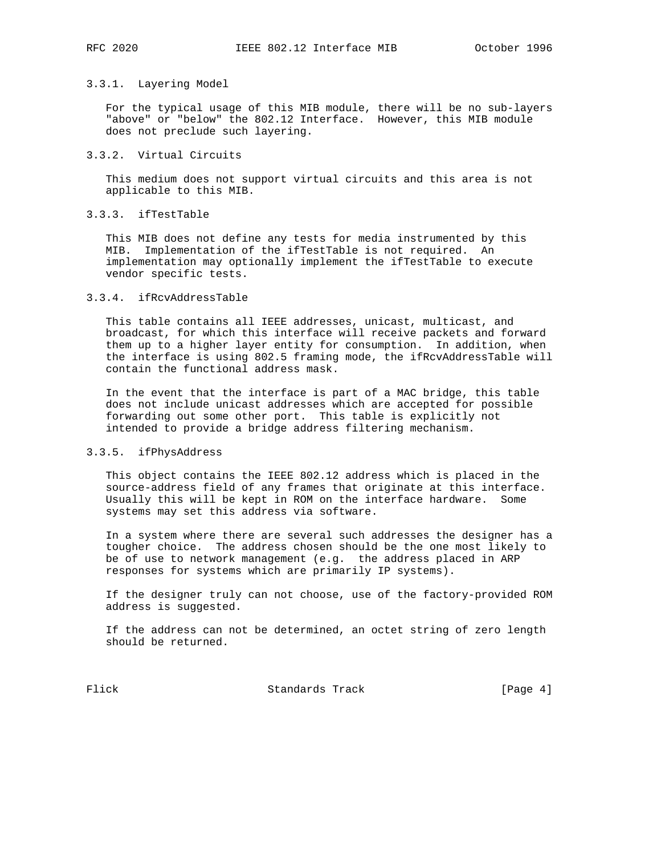# 3.3.1. Layering Model

 For the typical usage of this MIB module, there will be no sub-layers "above" or "below" the 802.12 Interface. However, this MIB module does not preclude such layering.

# 3.3.2. Virtual Circuits

 This medium does not support virtual circuits and this area is not applicable to this MIB.

# 3.3.3. ifTestTable

 This MIB does not define any tests for media instrumented by this MIB. Implementation of the ifTestTable is not required. An implementation may optionally implement the ifTestTable to execute vendor specific tests.

### 3.3.4. ifRcvAddressTable

 This table contains all IEEE addresses, unicast, multicast, and broadcast, for which this interface will receive packets and forward them up to a higher layer entity for consumption. In addition, when the interface is using 802.5 framing mode, the ifRcvAddressTable will contain the functional address mask.

 In the event that the interface is part of a MAC bridge, this table does not include unicast addresses which are accepted for possible forwarding out some other port. This table is explicitly not intended to provide a bridge address filtering mechanism.

## 3.3.5. ifPhysAddress

 This object contains the IEEE 802.12 address which is placed in the source-address field of any frames that originate at this interface. Usually this will be kept in ROM on the interface hardware. Some systems may set this address via software.

 In a system where there are several such addresses the designer has a tougher choice. The address chosen should be the one most likely to be of use to network management (e.g. the address placed in ARP responses for systems which are primarily IP systems).

 If the designer truly can not choose, use of the factory-provided ROM address is suggested.

 If the address can not be determined, an octet string of zero length should be returned.

Flick Standards Track [Page 4]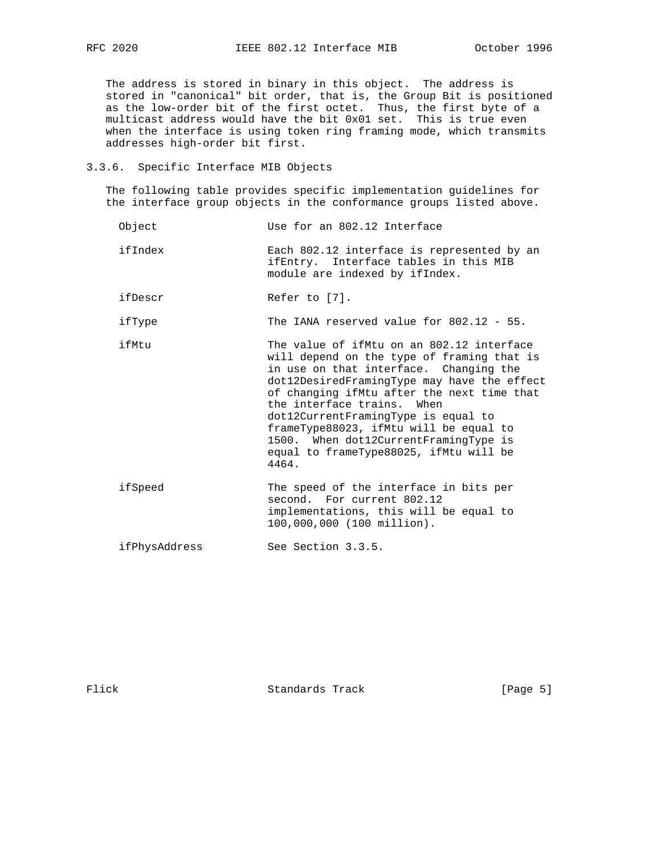The address is stored in binary in this object. The address is stored in "canonical" bit order, that is, the Group Bit is positioned as the low-order bit of the first octet. Thus, the first byte of a multicast address would have the bit 0x01 set. This is true even when the interface is using token ring framing mode, which transmits addresses high-order bit first.

### 3.3.6. Specific Interface MIB Objects

 The following table provides specific implementation guidelines for the interface group objects in the conformance groups listed above.

- Object Use for an 802.12 Interface
- ifIndex Each 802.12 interface is represented by an ifEntry. Interface tables in this MIB module are indexed by ifIndex.
- ifDescr Refer to [7].

ifType The IANA reserved value for 802.12 - 55.

- ifMtu The value of ifMtu on an 802.12 interface will depend on the type of framing that is in use on that interface. Changing the dot12DesiredFramingType may have the effect of changing ifMtu after the next time that the interface trains. When dot12CurrentFramingType is equal to frameType88023, ifMtu will be equal to 1500. When dot12CurrentFramingType is equal to frameType88025, ifMtu will be 4464.
- ifSpeed The speed of the interface in bits per second. For current 802.12 implementations, this will be equal to 100,000,000 (100 million).

ifPhysAddress See Section 3.3.5.

Flick Standards Track [Page 5]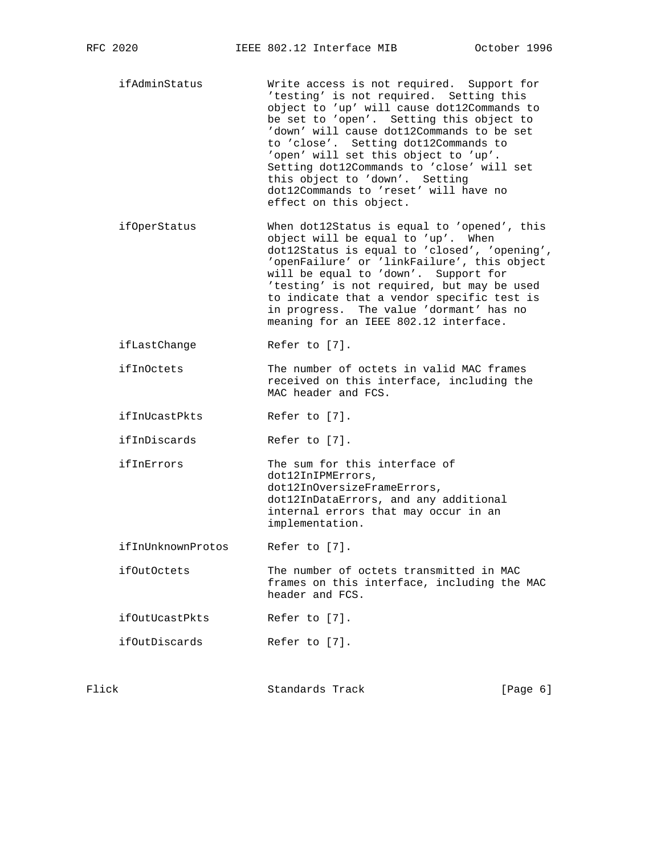- ifAdminStatus Write access is not required. Support for 'testing' is not required. Setting this object to 'up' will cause dot12Commands to be set to 'open'. Setting this object to 'down' will cause dot12Commands to be set to 'close'. Setting dot12Commands to 'open' will set this object to 'up'. Setting dot12Commands to 'close' will set this object to 'down'. Setting dot12Commands to 'reset' will have no effect on this object.
- ifOperStatus When dot12Status is equal to 'opened', this object will be equal to 'up'. When dot12Status is equal to 'closed', 'opening', 'openFailure' or 'linkFailure', this object will be equal to 'down'. Support for 'testing' is not required, but may be used to indicate that a vendor specific test is in progress. The value 'dormant' has no meaning for an IEEE 802.12 interface.
- ifLastChange Refer to [7].
- ifInOctets The number of octets in valid MAC frames received on this interface, including the MAC header and FCS.
- ifInUcastPkts Refer to [7].
- ifInDiscards Refer to [7].
- ifInErrors The sum for this interface of dot12InIPMErrors, dot12InOversizeFrameErrors, dot12InDataErrors, and any additional internal errors that may occur in an implementation.
- ifInUnknownProtos Refer to [7].
- ifOutOctets The number of octets transmitted in MAC frames on this interface, including the MAC header and FCS.
- ifOutUcastPkts Refer to [7].
- ifOutDiscards Refer to [7].

| Flick | Standards Track | [Page $6$ ] |  |
|-------|-----------------|-------------|--|
|       |                 |             |  |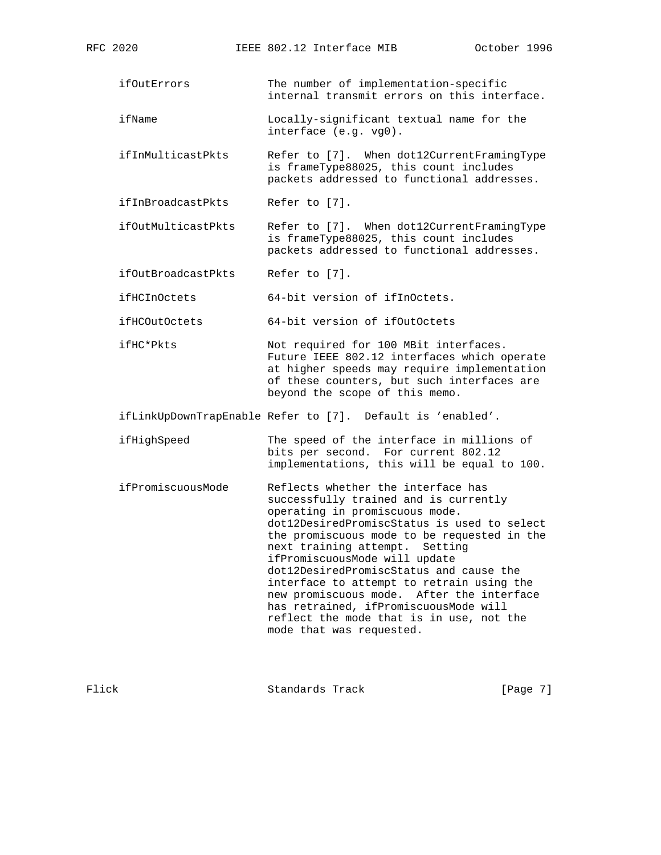- ifOutErrors The number of implementation-specific internal transmit errors on this interface.
- ifName Locally-significant textual name for the interface (e.g. vg0).
- ifInMulticastPkts Refer to [7]. When dot12CurrentFramingType is frameType88025, this count includes packets addressed to functional addresses.
- ifInBroadcastPkts Refer to [7].
- ifOutMulticastPkts Refer to [7]. When dot12CurrentFramingType is frameType88025, this count includes packets addressed to functional addresses.
- ifOutBroadcastPkts Refer to [7].

ifHCInOctets 64-bit version of ifInOctets.

- ifHCOutOctets 64-bit version of ifOutOctets
- ifHC\*Pkts Not required for 100 MBit interfaces. Future IEEE 802.12 interfaces which operate at higher speeds may require implementation of these counters, but such interfaces are beyond the scope of this memo.
- ifLinkUpDownTrapEnable Refer to [7]. Default is 'enabled'.
- ifHighSpeed The speed of the interface in millions of bits per second. For current 802.12 implementations, this will be equal to 100.
- ifPromiscuousMode Reflects whether the interface has successfully trained and is currently operating in promiscuous mode. dot12DesiredPromiscStatus is used to select the promiscuous mode to be requested in the next training attempt. Setting ifPromiscuousMode will update dot12DesiredPromiscStatus and cause the interface to attempt to retrain using the new promiscuous mode. After the interface has retrained, ifPromiscuousMode will reflect the mode that is in use, not the mode that was requested.

Flick Standards Track [Page 7]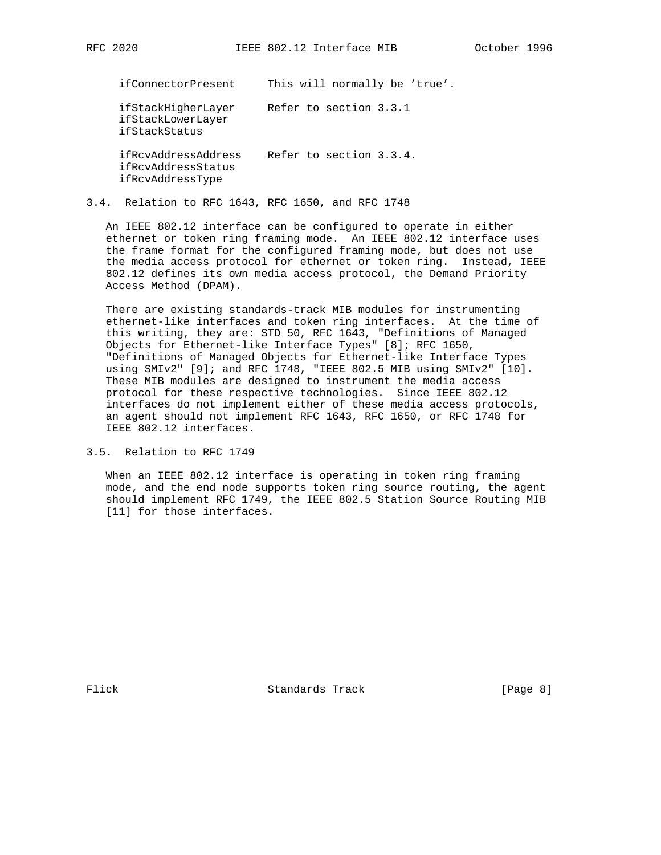ifConnectorPresent This will normally be 'true'. ifStackHigherLayer Refer to section 3.3.1 ifStackLowerLayer ifStackStatus ifRcvAddressAddress Refer to section 3.3.4. ifRcvAddressStatus ifRcvAddressType

# 3.4. Relation to RFC 1643, RFC 1650, and RFC 1748

 An IEEE 802.12 interface can be configured to operate in either ethernet or token ring framing mode. An IEEE 802.12 interface uses the frame format for the configured framing mode, but does not use the media access protocol for ethernet or token ring. Instead, IEEE 802.12 defines its own media access protocol, the Demand Priority Access Method (DPAM).

 There are existing standards-track MIB modules for instrumenting ethernet-like interfaces and token ring interfaces. At the time of this writing, they are: STD 50, RFC 1643, "Definitions of Managed Objects for Ethernet-like Interface Types" [8]; RFC 1650, "Definitions of Managed Objects for Ethernet-like Interface Types using SMIv2" [9]; and RFC 1748, "IEEE 802.5 MIB using SMIv2" [10]. These MIB modules are designed to instrument the media access protocol for these respective technologies. Since IEEE 802.12 interfaces do not implement either of these media access protocols, an agent should not implement RFC 1643, RFC 1650, or RFC 1748 for IEEE 802.12 interfaces.

3.5. Relation to RFC 1749

 When an IEEE 802.12 interface is operating in token ring framing mode, and the end node supports token ring source routing, the agent should implement RFC 1749, the IEEE 802.5 Station Source Routing MIB [11] for those interfaces.

Flick Standards Track [Page 8]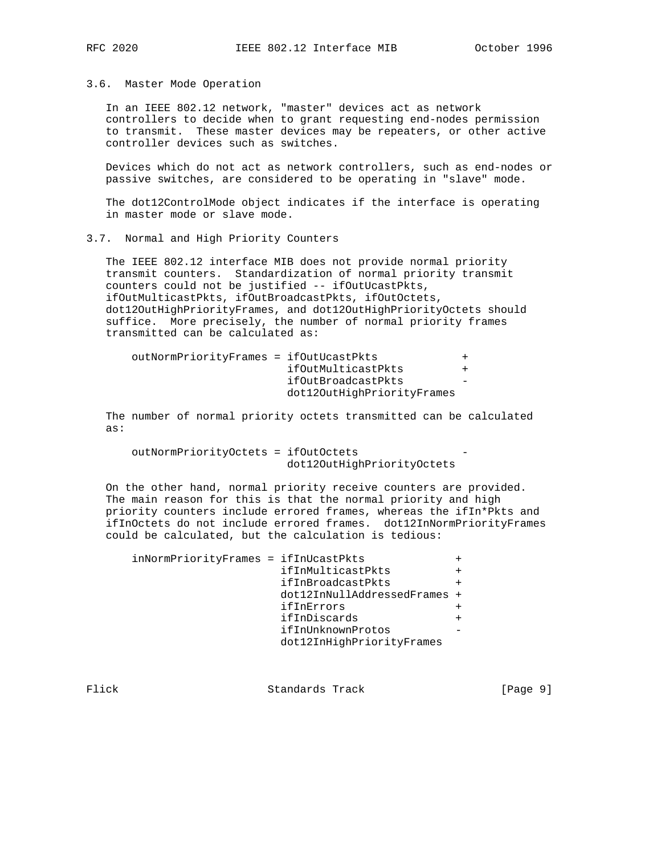#### 3.6. Master Mode Operation

 In an IEEE 802.12 network, "master" devices act as network controllers to decide when to grant requesting end-nodes permission to transmit. These master devices may be repeaters, or other active controller devices such as switches.

 Devices which do not act as network controllers, such as end-nodes or passive switches, are considered to be operating in "slave" mode.

 The dot12ControlMode object indicates if the interface is operating in master mode or slave mode.

#### 3.7. Normal and High Priority Counters

 The IEEE 802.12 interface MIB does not provide normal priority transmit counters. Standardization of normal priority transmit counters could not be justified -- ifOutUcastPkts, ifOutMulticastPkts, ifOutBroadcastPkts, ifOutOctets, dot12OutHighPriorityFrames, and dot12OutHighPriorityOctets should suffice. More precisely, the number of normal priority frames transmitted can be calculated as:

| outNormPriorityFrames = ifOutUcastPkts |                            |  |
|----------------------------------------|----------------------------|--|
|                                        | ifOutMulticastPkts         |  |
|                                        | ifOutBroadcastPkts         |  |
|                                        | dot120utHighPriorityFrames |  |

 The number of normal priority octets transmitted can be calculated as:

 outNormPriorityOctets = ifOutOctets dot12OutHighPriorityOctets

 On the other hand, normal priority receive counters are provided. The main reason for this is that the normal priority and high priority counters include errored frames, whereas the ifIn\*Pkts and ifInOctets do not include errored frames. dot12InNormPriorityFrames could be calculated, but the calculation is tedious:

| inNormPriorityFrames = ifInUcastPkts |                              |  |
|--------------------------------------|------------------------------|--|
|                                      | ifInMulticastPkts            |  |
|                                      | ifInBroadcastPkts            |  |
|                                      | dot12InNullAddressedFrames + |  |
|                                      | ifInErrors                   |  |
|                                      | ifInDiscards                 |  |
|                                      | ifInUnknownProtos            |  |
|                                      | dot12InHighPriorityFrames    |  |

Flick Standards Track [Page 9]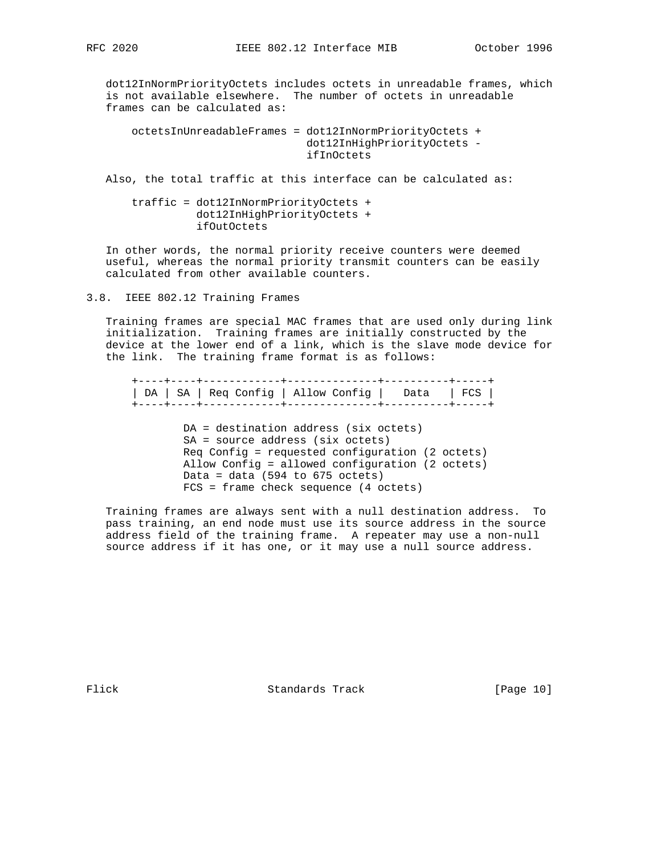dot12InNormPriorityOctets includes octets in unreadable frames, which is not available elsewhere. The number of octets in unreadable frames can be calculated as:

```
 octetsInUnreadableFrames = dot12InNormPriorityOctets +
                             dot12InHighPriorityOctets -
                             ifInOctets
```
Also, the total traffic at this interface can be calculated as:

 traffic = dot12InNormPriorityOctets + dot12InHighPriorityOctets + ifOutOctets

 In other words, the normal priority receive counters were deemed useful, whereas the normal priority transmit counters can be easily calculated from other available counters.

3.8. IEEE 802.12 Training Frames

 Training frames are special MAC frames that are used only during link initialization. Training frames are initially constructed by the device at the lower end of a link, which is the slave mode device for the link. The training frame format is as follows:

 +----+----+------------+--------------+----------+-----+ | DA | SA | Req Config | Allow Config | Data | FCS | +----+----+------------+--------------+----------+-----+

> DA = destination address (six octets) SA = source address (six octets) Req Config = requested configuration (2 octets) Allow Config = allowed configuration (2 octets) Data = data  $(594$  to  $675$  octets) FCS = frame check sequence (4 octets)

 Training frames are always sent with a null destination address. To pass training, an end node must use its source address in the source address field of the training frame. A repeater may use a non-null source address if it has one, or it may use a null source address.

Flick Standards Track [Page 10]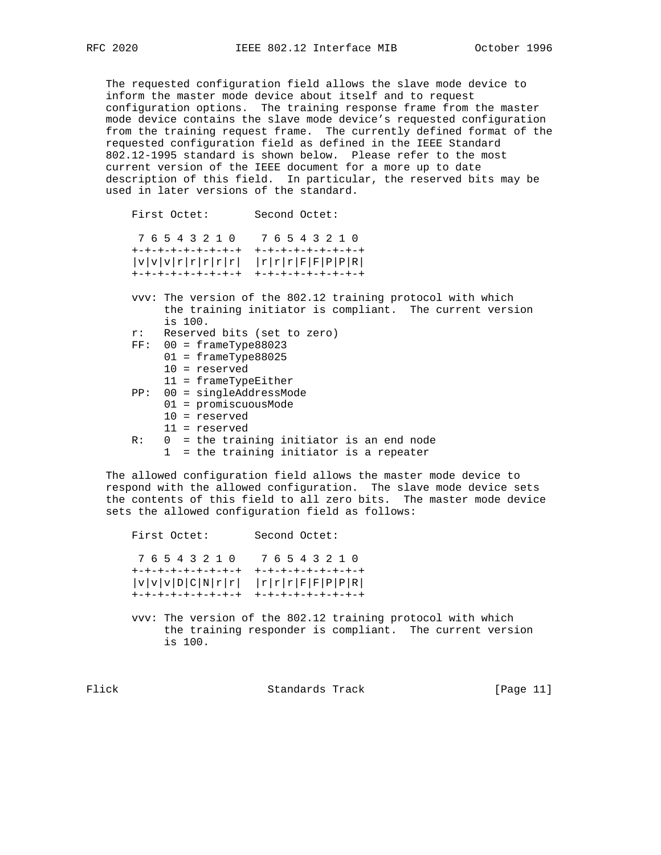The requested configuration field allows the slave mode device to inform the master mode device about itself and to request configuration options. The training response frame from the master mode device contains the slave mode device's requested configuration from the training request frame. The currently defined format of the requested configuration field as defined in the IEEE Standard 802.12-1995 standard is shown below. Please refer to the most current version of the IEEE document for a more up to date description of this field. In particular, the reserved bits may be used in later versions of the standard.

```
 First Octet: Second Octet:
  7 6 5 4 3 2 1 0 7 6 5 4 3 2 1 0
 +-+-+-+-+-+-+-+-+ +-+-+-+-+-+-+-+-+
|v|v|v|r|r|r|r| |r|F|r|r|F|F|F|P|P|R| +-+-+-+-+-+-+-+-+ +-+-+-+-+-+-+-+-+
 vvv: The version of the 802.12 training protocol with which
      the training initiator is compliant. The current version
      is 100.
 r: Reserved bits (set to zero)
 FF: 00 = frameType88023
      01 = frameType88025
      10 = reserved
      11 = frameTypeEither
 PP: 00 = singleAddressMode
      01 = promiscuousMode
      10 = reserved
      11 = reserved
 R: 0 = the training initiator is an end node
```
1 = the training initiator is a repeater

 The allowed configuration field allows the master mode device to respond with the allowed configuration. The slave mode device sets the contents of this field to all zero bits. The master mode device sets the allowed configuration field as follows:

 First Octet: Second Octet: 7 6 5 4 3 2 1 0 7 6 5 4 3 2 1 0 +-+-+-+-+-+-+-+-+ +-+-+-+-+-+-+-+-+  $|v|v|v|D|C|N|r|r|$   $|r|r|r|F|F|P|P|R|$ +-+-+-+-+-+-+-+-+ +-+-+-+-+-+-+-+-+

 vvv: The version of the 802.12 training protocol with which the training responder is compliant. The current version is 100.

Flick **Standards Track** [Page 11]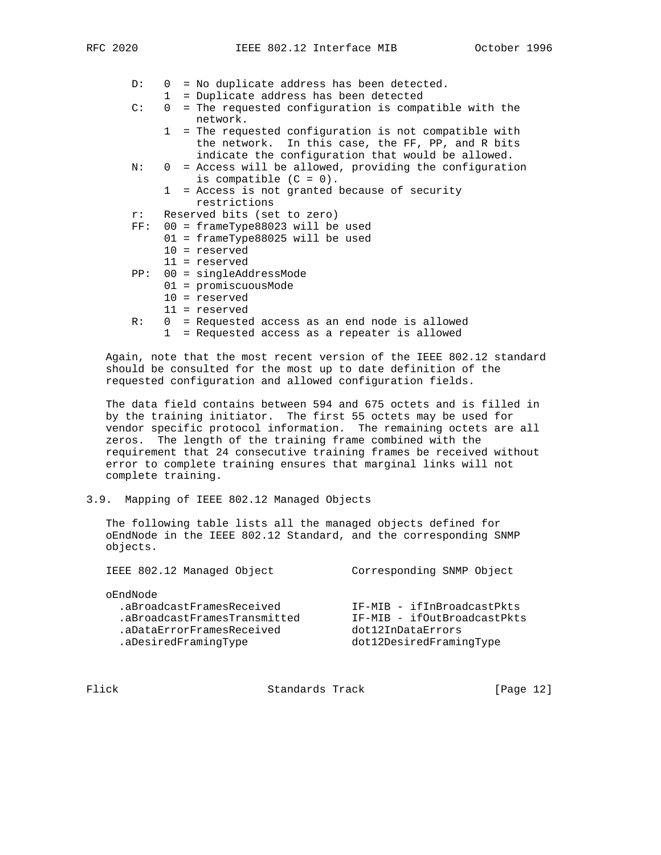- D: 0 = No duplicate address has been detected.
- $1 =$  Duplicate address has been detected<br>C:  $0 =$  The requested configuration is compa
	- $0$  = The requested configuration is compatible with the network.
		- 1 = The requested configuration is not compatible with the network. In this case, the FF, PP, and R bits indicate the configuration that would be allowed.
- N: 0 = Access will be allowed, providing the configuration is compatible  $(C = 0)$ .
	- 1 = Access is not granted because of security restrictions
- r: Reserved bits (set to zero)
- FF: 00 = frameType88023 will be used
	- 01 = frameType88025 will be used
		- 10 = reserved
		- 11 = reserved
- PP: 00 = singleAddressMode
	- 01 = promiscuousMode
	- 10 = reserved
	- 11 = reserved
- R: 0 = Requested access as an end node is allowed
	- 1 = Requested access as a repeater is allowed

 Again, note that the most recent version of the IEEE 802.12 standard should be consulted for the most up to date definition of the requested configuration and allowed configuration fields.

 The data field contains between 594 and 675 octets and is filled in by the training initiator. The first 55 octets may be used for vendor specific protocol information. The remaining octets are all zeros. The length of the training frame combined with the requirement that 24 consecutive training frames be received without error to complete training ensures that marginal links will not complete training.

3.9. Mapping of IEEE 802.12 Managed Objects

 The following table lists all the managed objects defined for oEndNode in the IEEE 802.12 Standard, and the corresponding SNMP objects.

| IEEE 802.12 Managed Object                                                                                                 | Corresponding SNMP Object                                                                                 |
|----------------------------------------------------------------------------------------------------------------------------|-----------------------------------------------------------------------------------------------------------|
| oEndNode<br>.aBroadcastFramesReceived<br>.aBroadcastFramesTransmitted<br>.aDataErrorFramesReceived<br>.aDesiredFramingType | IF-MIB - ifInBroadcastPkts<br>IF-MIB - ifOutBroadcastPkts<br>dot12InDataErrors<br>dot12DesiredFramingType |

Flick Standards Track [Page 12]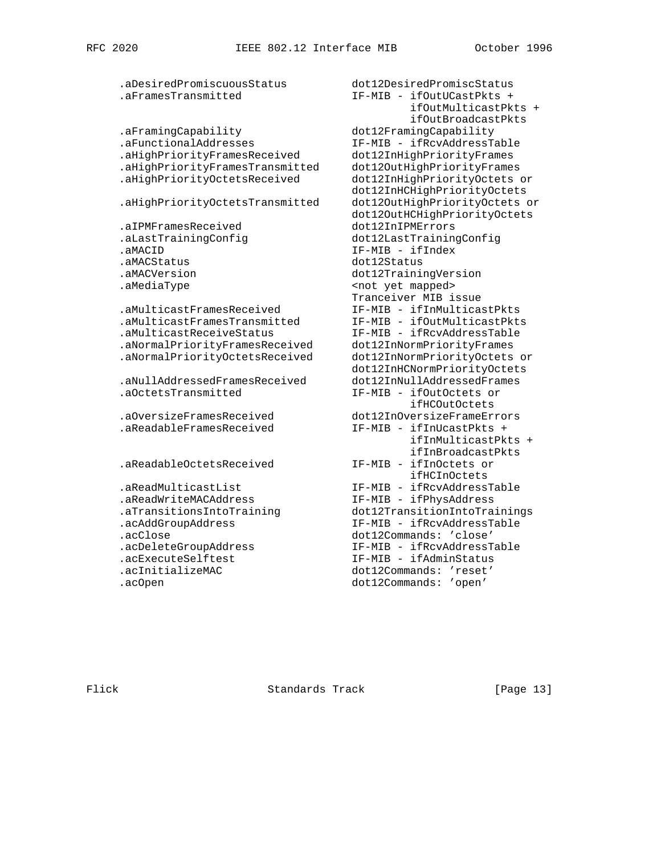.aDesiredPromiscuousStatus dot12DesiredPromiscStatus .aFramesTransmitted IF-MIB - ifOutUCastPkts + .aFramingCapability dot12FramingCapability .aFunctionalAddresses IF-MIB - ifRcvAddressTable .aHighPriorityFramesReceived dot12InHighPriorityFrames .aHighPriorityFramesTransmitted dot12OutHighPriorityFrames .aHighPriorityOctetsReceived dot12InHighPriorityOctets or .aHighPriorityOctetsTransmitted dot12OutHighPriorityOctets or .aIPMFramesReceived dot12InIPMErrors .aLastTrainingConfig dot12LastTrainingConfig .aMACID IF-MIB - ifIndex .aMACStatus dot12Status .aMediaType <not yet mapped> .aMulticastFramesReceived IF-MIB - ifInMulticastPkts .aMulticastFramesTransmitted IF-MIB - ifOutMulticastPkts .aMulticastReceiveStatus IF-MIB - ifRcvAddressTable .aNormalPriorityFramesReceived dot12InNormPriorityFrames .aNormalPriorityOctetsReceived dot12InNormPriorityOctets or .aNullAddressedFramesReceived dot12InNullAddressedFrames .aOctetsTransmitted IF-MIB - ifOutOctets or ifHCOutOctets and the state of the state of the state of the state of the state of the state of the state of t .aOversizeFramesReceived dot12InOversizeFrameErrors .aReadableFramesReceived IF-MIB - ifInUcastPkts + .aReadableOctetsReceived IF-MIB - ifInOctets or ifHCInOctets<br>'aReadMulticastList IF-MIB - ifRcvAddress aReadWriteMACAddress ـ ميس عدد الله عليه - الله - inter mino - intervaditions<br>IF-MIB - ifPhysAddress .aTransitionsIntoTrainings .aTransitionsIntoTrainings .aTransitionsIntoTraining dot12TransitionIntoTrainings .acAddGroupAddress IF-MIB - ifRcvAddressTable .acClose dot12Commands: 'close' .acDeleteGroupAddress IF-MIB - ifRcvAddressTable .acExecuteSelftest IF-MIB - ifAdminStatus .acInitializeMAC dot12Commands: 'reset'

 ifOutMulticastPkts + ifOutBroadcastPkts dot12InHCHighPriorityOctets dot12OutHCHighPriorityOctets dot12TrainingVersion Tranceiver MIB issue<br>IF-MIB - ifInMulticastPkts dot12InHCNormPriorityOctets ifInMulticastPkts + ifInBroadcastPkts IF-MIB - ifRcvAddressTable .acOpen dot12Commands: 'open'

Flick Standards Track [Page 13]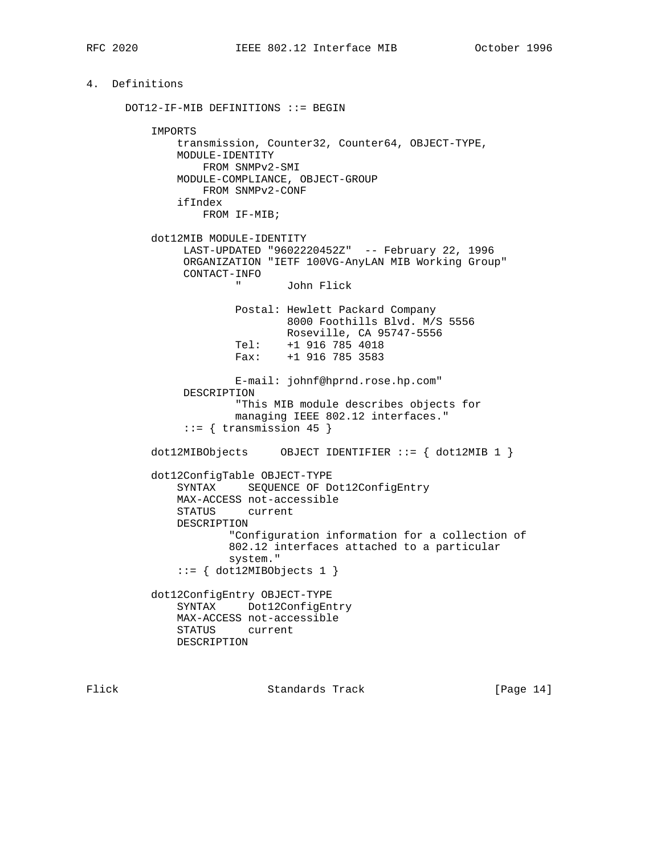# 4. Definitions

 DOT12-IF-MIB DEFINITIONS ::= BEGIN IMPORTS transmission, Counter32, Counter64, OBJECT-TYPE, MODULE-IDENTITY FROM SNMPv2-SMI MODULE-COMPLIANCE, OBJECT-GROUP FROM SNMPv2-CONF ifIndex FROM IF-MIB; dot12MIB MODULE-IDENTITY LAST-UPDATED "9602220452Z" -- February 22, 1996 ORGANIZATION "IETF 100VG-AnyLAN MIB Working Group" CONTACT-INFO " John Flick Postal: Hewlett Packard Company 8000 Foothills Blvd. M/S 5556 Roseville, CA 95747-5556 Tel: +1 916 785 4018 Fax: +1 916 785 3583 E-mail: johnf@hprnd.rose.hp.com" DESCRIPTION "This MIB module describes objects for managing IEEE 802.12 interfaces."  $::=$  { transmission 45 } dot12MIBObjects OBJECT IDENTIFIER ::= { dot12MIB 1 } dot12ConfigTable OBJECT-TYPE SYNTAX SEQUENCE OF Dot12ConfigEntry MAX-ACCESS not-accessible STATUS current DESCRIPTION "Configuration information for a collection of 802.12 interfaces attached to a particular system." ::= { dot12MIBObjects 1 } dot12ConfigEntry OBJECT-TYPE SYNTAX Dot12ConfigEntry MAX-ACCESS not-accessible STATUS current DESCRIPTION

Flick Standards Track [Page 14]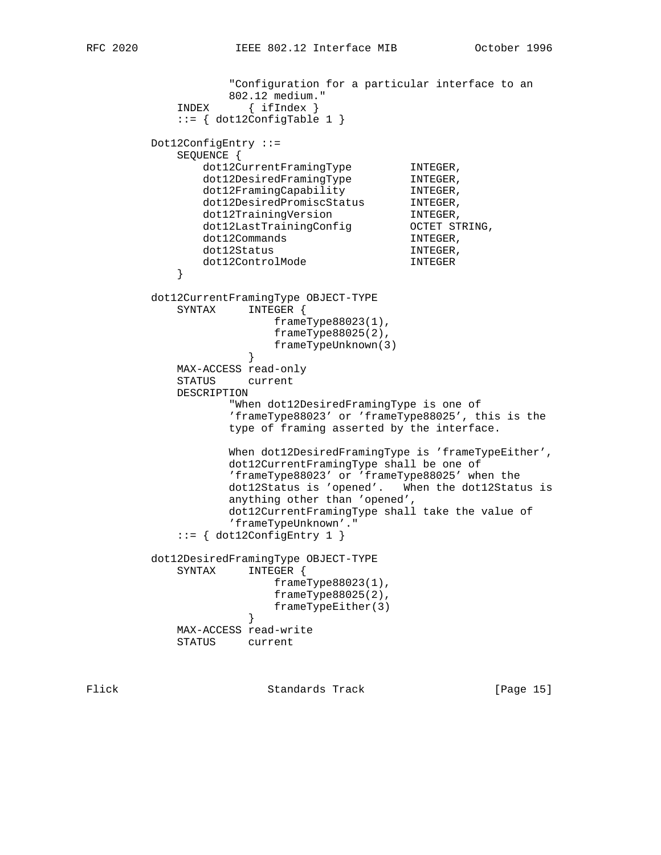```
 "Configuration for a particular interface to an
                  802.12 medium."
            INDEX { ifIndex }
            ::= { dot12ConfigTable 1 }
        Dot12ConfigEntry ::=
            SEQUENCE {
dot12CurrentFramingType INTEGER,
dot12DesiredFramingType  INTEGER,
dot12FramingCapability INTEGER,
dot12DesiredPromiscStatus INTEGER,
dot12TrainingVersion INTEGER,
 dot12LastTrainingConfig OCTET STRING,
dot12Commands INTEGER,
dot12Status in the INTEGER,
           dot12ControlMode INTEGER
 }
        dot12CurrentFramingType OBJECT-TYPE
            SYNTAX INTEGER {
                        frameType88023(1),
                        frameType88025(2),
                    frameTypeUnknown(3)<br>}
 }
            MAX-ACCESS read-only
            STATUS current
            DESCRIPTION
                  "When dot12DesiredFramingType is one of
                  'frameType88023' or 'frameType88025', this is the
                  type of framing asserted by the interface.
                 When dot12DesiredFramingType is 'frameTypeEither',
                  dot12CurrentFramingType shall be one of
                  'frameType88023' or 'frameType88025' when the
                  dot12Status is 'opened'. When the dot12Status is
                  anything other than 'opened',
                  dot12CurrentFramingType shall take the value of
                  'frameTypeUnknown'."
           ::= { dot12ConfigEntry 1 }
        dot12DesiredFramingType OBJECT-TYPE
            SYNTAX INTEGER {
                       frameType88023(1),
                        frameType88025(2),
                   frameTypeEither(3)<br>}
 }
            MAX-ACCESS read-write
            STATUS current
```
Flick Standards Track [Page 15]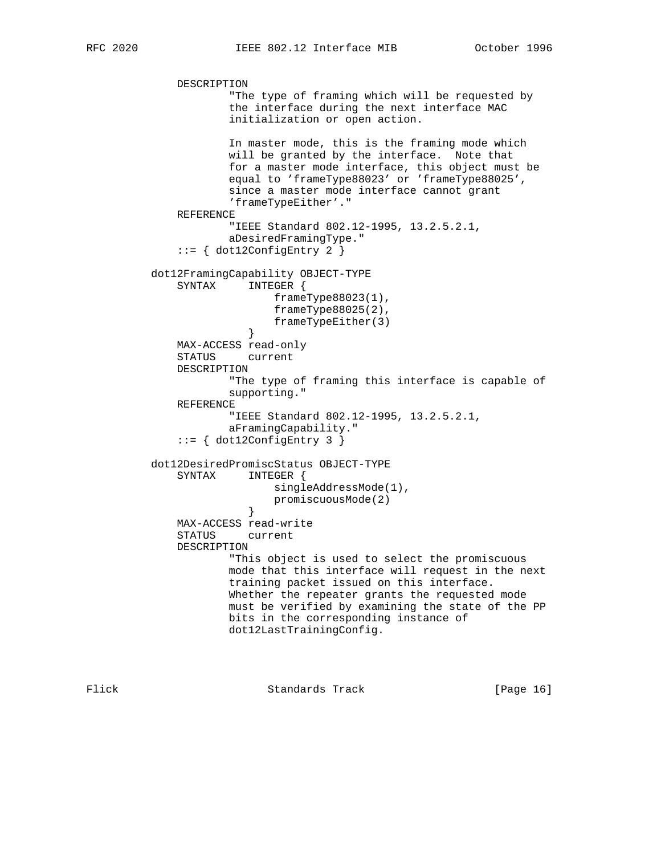```
 DESCRIPTION
                      "The type of framing which will be requested by
                      the interface during the next interface MAC
                      initialization or open action.
                      In master mode, this is the framing mode which
                      will be granted by the interface. Note that
                      for a master mode interface, this object must be
                      equal to 'frameType88023' or 'frameType88025',
                      since a master mode interface cannot grant
                      'frameTypeEither'."
              REFERENCE
                      "IEEE Standard 802.12-1995, 13.2.5.2.1,
                      aDesiredFramingType."
             ::= { dot12ConfigEntry 2 }
          dot12FramingCapability OBJECT-TYPE
              SYNTAX INTEGER {
                             frameType88023(1),
                            frameType88025(2),
                        frameTypeEither(3)<br>}
 }
              MAX-ACCESS read-only
              STATUS current
              DESCRIPTION
                      "The type of framing this interface is capable of
                      supporting."
              REFERENCE
                      "IEEE Standard 802.12-1995, 13.2.5.2.1,
                      aFramingCapability."
             ::= { dot12ConfigEntry 3 }
          dot12DesiredPromiscStatus OBJECT-TYPE
              SYNTAX INTEGER {
                            singleAddressMode(1),
                        promiscuousMode(2)<br>}
 }
              MAX-ACCESS read-write
              STATUS current
              DESCRIPTION
                      "This object is used to select the promiscuous
                      mode that this interface will request in the next
                      training packet issued on this interface.
                      Whether the repeater grants the requested mode
                      must be verified by examining the state of the PP
                      bits in the corresponding instance of
                      dot12LastTrainingConfig.
```
Flick **Standards Track** [Page 16]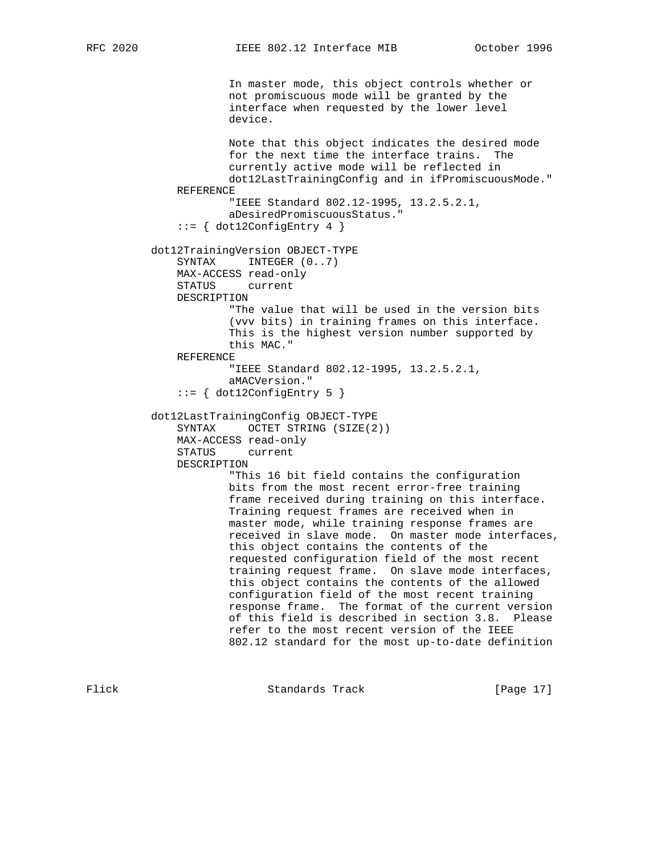In master mode, this object controls whether or not promiscuous mode will be granted by the interface when requested by the lower level device. Note that this object indicates the desired mode for the next time the interface trains. The currently active mode will be reflected in dot12LastTrainingConfig and in ifPromiscuousMode." REFERENCE "IEEE Standard 802.12-1995, 13.2.5.2.1, aDesiredPromiscuousStatus."  $::= \{ dot12ConfigEntry 4 \}$  dot12TrainingVersion OBJECT-TYPE SYNTAX INTEGER  $(0..7)$  MAX-ACCESS read-only STATUS current DESCRIPTION "The value that will be used in the version bits (vvv bits) in training frames on this interface. This is the highest version number supported by this MAC." REFERENCE "IEEE Standard 802.12-1995, 13.2.5.2.1, aMACVersion."  $::=$  { dot12ConfigEntry 5 } dot12LastTrainingConfig OBJECT-TYPE SYNTAX OCTET STRING (SIZE(2)) MAX-ACCESS read-only STATUS current DESCRIPTION "This 16 bit field contains the configuration bits from the most recent error-free training frame received during training on this interface. Training request frames are received when in master mode, while training response frames are received in slave mode. On master mode interfaces, this object contains the contents of the requested configuration field of the most recent training request frame. On slave mode interfaces, this object contains the contents of the allowed configuration field of the most recent training response frame. The format of the current version of this field is described in section 3.8. Please refer to the most recent version of the IEEE 802.12 standard for the most up-to-date definition

Flick **Standards Track** [Page 17]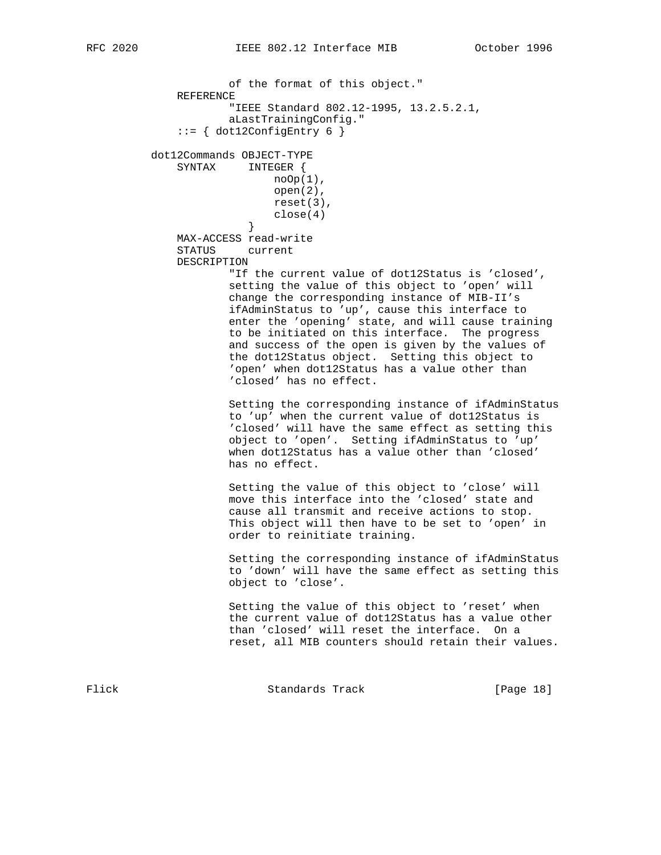of the format of this object." REFERENCE "IEEE Standard 802.12-1995, 13.2.5.2.1, aLastTrainingConfig."  $::=$  { dot12ConfigEntry 6 } dot12Commands OBJECT-TYPE SYNTAX INTEGER {  $noOp(1)$ , open(2), reset(3),  $close(4)$  } MAX-ACCESS read-write STATUS current DESCRIPTION "If the current value of dot12Status is 'closed', setting the value of this object to 'open' will change the corresponding instance of MIB-II's ifAdminStatus to 'up', cause this interface to enter the 'opening' state, and will cause training to be initiated on this interface. The progress and success of the open is given by the values of the dot12Status object. Setting this object to 'open' when dot12Status has a value other than 'closed' has no effect. Setting the corresponding instance of ifAdminStatus

 to 'up' when the current value of dot12Status is 'closed' will have the same effect as setting this object to 'open'. Setting ifAdminStatus to 'up' when dot12Status has a value other than 'closed' has no effect.

 Setting the value of this object to 'close' will move this interface into the 'closed' state and cause all transmit and receive actions to stop. This object will then have to be set to 'open' in order to reinitiate training.

 Setting the corresponding instance of ifAdminStatus to 'down' will have the same effect as setting this object to 'close'.

 Setting the value of this object to 'reset' when the current value of dot12Status has a value other than 'closed' will reset the interface. On a reset, all MIB counters should retain their values.

Flick Standards Track [Page 18]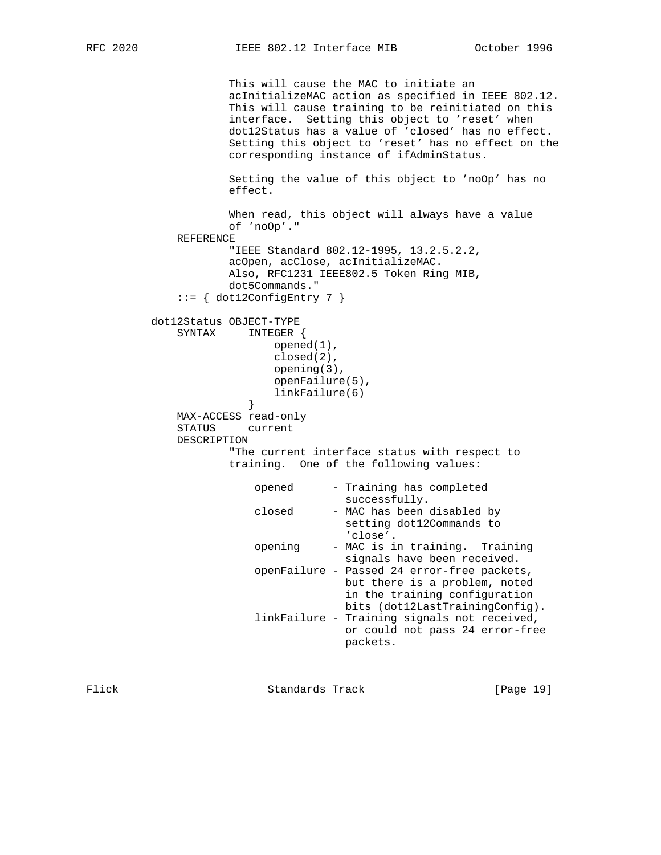```
 This will cause the MAC to initiate an
                      acInitializeMAC action as specified in IEEE 802.12.
                      This will cause training to be reinitiated on this
                      interface. Setting this object to 'reset' when
                      dot12Status has a value of 'closed' has no effect.
                      Setting this object to 'reset' has no effect on the
                      corresponding instance of ifAdminStatus.
                      Setting the value of this object to 'noOp' has no
                      effect.
                      When read, this object will always have a value
                      of 'noOp'."
              REFERENCE
                      "IEEE Standard 802.12-1995, 13.2.5.2.2,
                      acOpen, acClose, acInitializeMAC.
                      Also, RFC1231 IEEE802.5 Token Ring MIB,
                      dot5Commands."
              ::= { dot12ConfigEntry 7 }
          dot12Status OBJECT-TYPE
              SYNTAX INTEGER {
                             opened(1),
                             closed(2),
                             opening(3),
                             openFailure(5),
                        linkFailure(6)<br>}
 }
              MAX-ACCESS read-only
              STATUS current
              DESCRIPTION
                      "The current interface status with respect to
                      training. One of the following values:
                          opened - Training has completed
                                       successfully.
                          closed - MAC has been disabled by
                                        setting dot12Commands to
                                        'close'.
                          opening - MAC is in training. Training
                                        signals have been received.
                          openFailure - Passed 24 error-free packets,
                                        but there is a problem, noted
                                         in the training configuration
                                        bits (dot12LastTrainingConfig).
                          linkFailure - Training signals not received,
                                        or could not pass 24 error-free
                                        packets.
```
Flick Standards Track [Page 19]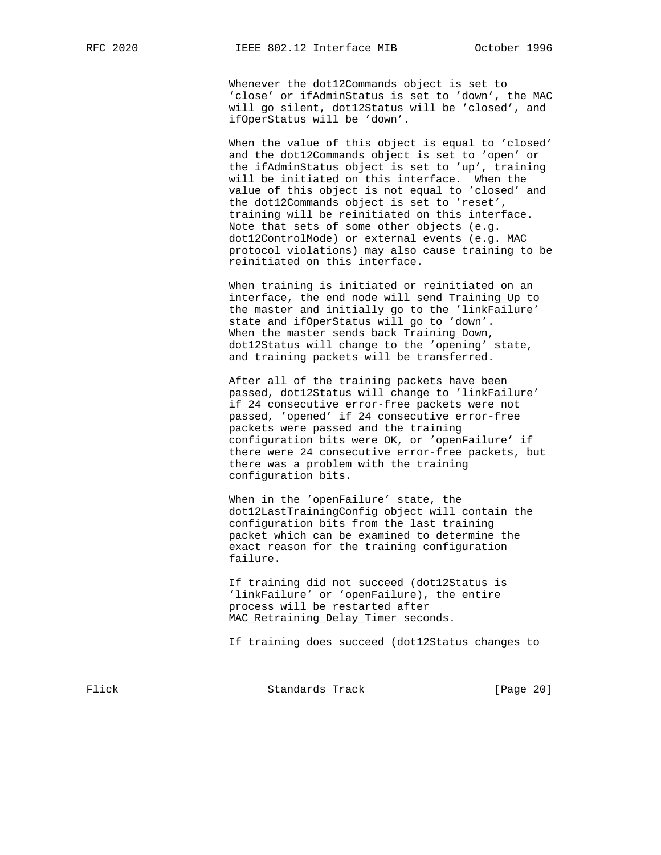Whenever the dot12Commands object is set to 'close' or ifAdminStatus is set to 'down', the MAC will go silent, dot12Status will be 'closed', and ifOperStatus will be 'down'.

 When the value of this object is equal to 'closed' and the dot12Commands object is set to 'open' or the ifAdminStatus object is set to 'up', training will be initiated on this interface. When the value of this object is not equal to 'closed' and the dot12Commands object is set to 'reset', training will be reinitiated on this interface. Note that sets of some other objects (e.g. dot12ControlMode) or external events (e.g. MAC protocol violations) may also cause training to be reinitiated on this interface.

 When training is initiated or reinitiated on an interface, the end node will send Training\_Up to the master and initially go to the 'linkFailure' state and ifOperStatus will go to 'down'. When the master sends back Training\_Down, dot12Status will change to the 'opening' state, and training packets will be transferred.

 After all of the training packets have been passed, dot12Status will change to 'linkFailure' if 24 consecutive error-free packets were not passed, 'opened' if 24 consecutive error-free packets were passed and the training configuration bits were OK, or 'openFailure' if there were 24 consecutive error-free packets, but there was a problem with the training configuration bits.

 When in the 'openFailure' state, the dot12LastTrainingConfig object will contain the configuration bits from the last training packet which can be examined to determine the exact reason for the training configuration failure.

 If training did not succeed (dot12Status is 'linkFailure' or 'openFailure), the entire process will be restarted after MAC\_Retraining\_Delay\_Timer seconds.

If training does succeed (dot12Status changes to

Flick Standards Track [Page 20]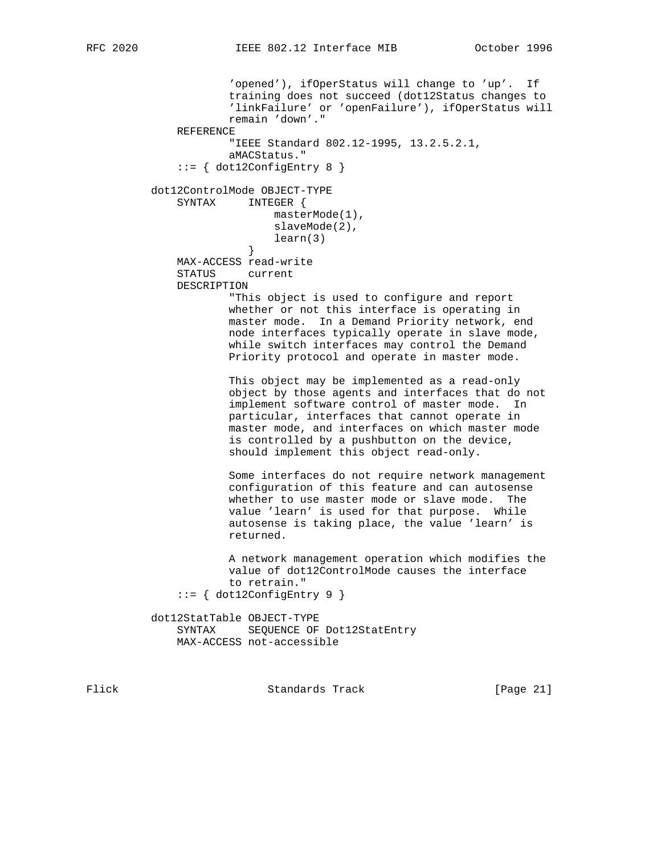'opened'), ifOperStatus will change to 'up'. If training does not succeed (dot12Status changes to 'linkFailure' or 'openFailure'), ifOperStatus will remain 'down'." REFERENCE "IEEE Standard 802.12-1995, 13.2.5.2.1, aMACStatus."  $::=$  { dot12ConfigEntry 8 } dot12ControlMode OBJECT-TYPE SYNTAX INTEGER { masterMode(1), slaveMode(2), learn(3)<br>} } MAX-ACCESS read-write STATUS current DESCRIPTION "This object is used to configure and report whether or not this interface is operating in master mode. In a Demand Priority network, end node interfaces typically operate in slave mode, while switch interfaces may control the Demand Priority protocol and operate in master mode. This object may be implemented as a read-only object by those agents and interfaces that do not implement software control of master mode. In particular, interfaces that cannot operate in master mode, and interfaces on which master mode is controlled by a pushbutton on the device, should implement this object read-only. Some interfaces do not require network management configuration of this feature and can autosense whether to use master mode or slave mode. The value 'learn' is used for that purpose. While autosense is taking place, the value 'learn' is returned. A network management operation which modifies the value of dot12ControlMode causes the interface to retrain."  $::=$  { dot12ConfigEntry 9 } dot12StatTable OBJECT-TYPE SYNTAX SEQUENCE OF Dot12StatEntry MAX-ACCESS not-accessible

Flick **Standards Track** [Page 21]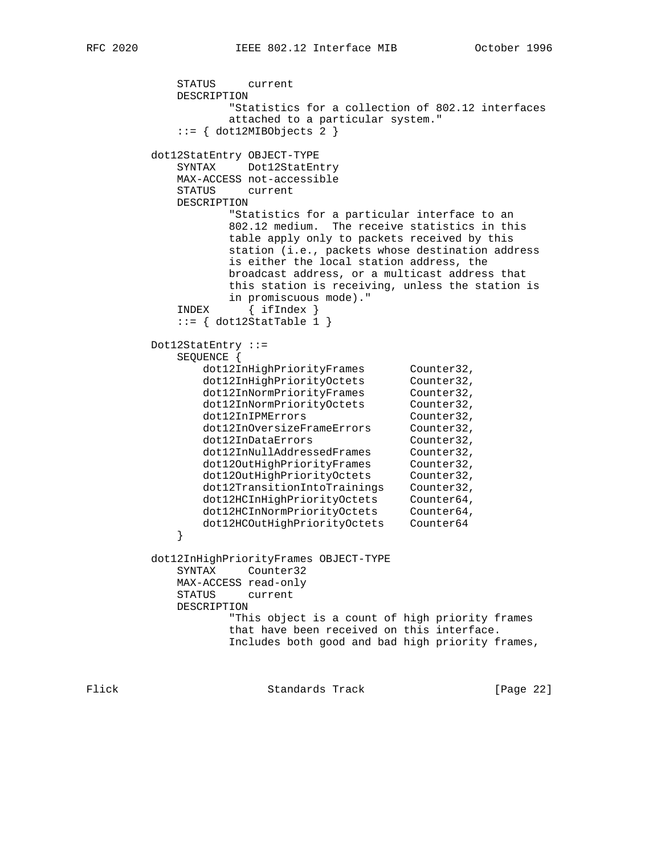STATUS current DESCRIPTION "Statistics for a collection of 802.12 interfaces attached to a particular system."  $::=$  { dot12MIBObjects 2 } dot12StatEntry OBJECT-TYPE SYNTAX Dot12StatEntry MAX-ACCESS not-accessible STATUS current DESCRIPTION "Statistics for a particular interface to an 802.12 medium. The receive statistics in this table apply only to packets received by this station (i.e., packets whose destination address is either the local station address, the broadcast address, or a multicast address that this station is receiving, unless the station is in promiscuous mode)." INDEX { ifIndex }  $::=$  { dot12StatTable 1 } Dot12StatEntry ::= SEQUENCE { dot12InHighPriorityFrames Counter32, dot12InHighPriorityOctets Counter32, dot12InNormPriorityFrames Counter32, dot12InNormPriorityOctets Counter32, dot12InIPMErrors Counter32, dot12InOversizeFrameErrors Counter32, dot12InDataErrors Counter32, dot12InNullAddressedFrames Counter32, dot12OutHighPriorityFrames Counter32, dot12OutHighPriorityOctets Counter32, dot12TransitionIntoTrainings Counter32, dot12HCInHighPriorityOctets Counter64, dot12HCInNormPriorityOctets Counter64, dot12HCOutHighPriorityOctets Counter64 } dot12InHighPriorityFrames OBJECT-TYPE SYNTAX Counter32 MAX-ACCESS read-only STATUS current DESCRIPTION "This object is a count of high priority frames that have been received on this interface. Includes both good and bad high priority frames,

Flick **Standards Track** [Page 22]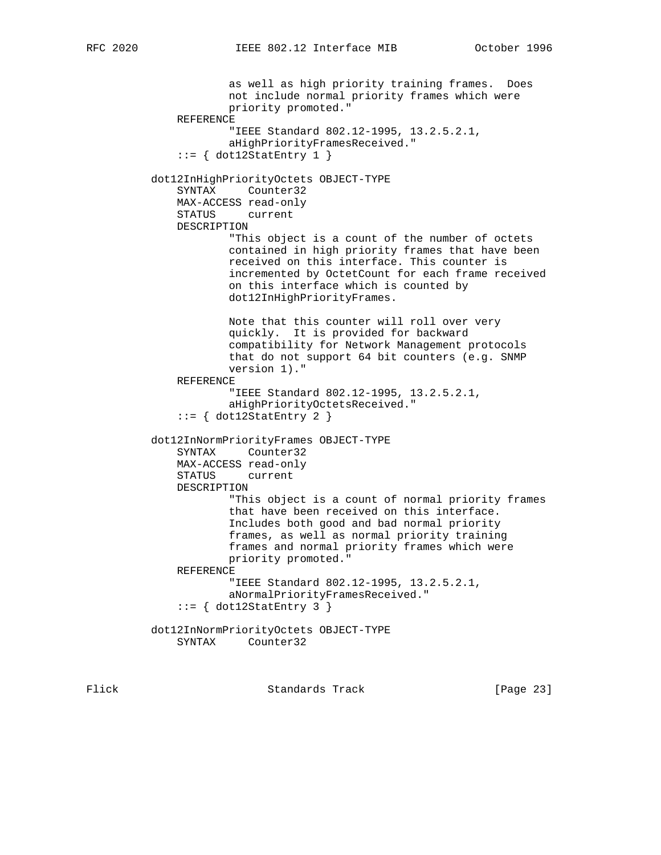as well as high priority training frames. Does not include normal priority frames which were priority promoted." REFERENCE "IEEE Standard 802.12-1995, 13.2.5.2.1, aHighPriorityFramesReceived."  $::= \{ dot12StatEntry 1 \}$  dot12InHighPriorityOctets OBJECT-TYPE SYNTAX Counter32 MAX-ACCESS read-only STATUS current DESCRIPTION "This object is a count of the number of octets contained in high priority frames that have been received on this interface. This counter is incremented by OctetCount for each frame received on this interface which is counted by dot12InHighPriorityFrames. Note that this counter will roll over very quickly. It is provided for backward compatibility for Network Management protocols that do not support 64 bit counters (e.g. SNMP version 1)." REFERENCE "IEEE Standard 802.12-1995, 13.2.5.2.1, aHighPriorityOctetsReceived."  $::=$  { dot12StatEntry 2 } dot12InNormPriorityFrames OBJECT-TYPE SYNTAX Counter32 MAX-ACCESS read-only STATUS current DESCRIPTION "This object is a count of normal priority frames that have been received on this interface. Includes both good and bad normal priority frames, as well as normal priority training frames and normal priority frames which were priority promoted." REFERENCE "IEEE Standard 802.12-1995, 13.2.5.2.1, aNormalPriorityFramesReceived."  $::=$  { dot12StatEntry 3 } dot12InNormPriorityOctets OBJECT-TYPE SYNTAX Counter32

Flick Standards Track [Page 23]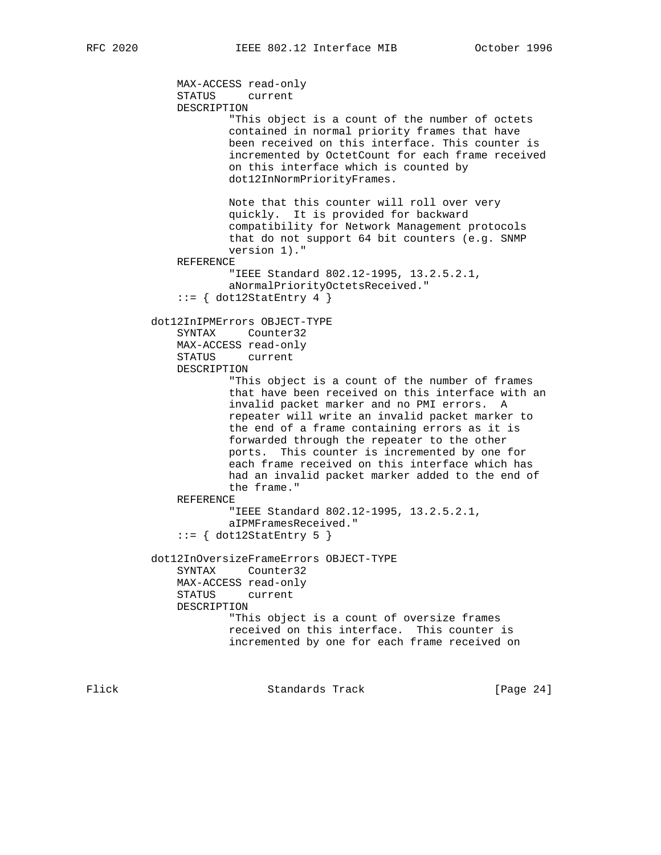```
 MAX-ACCESS read-only
     STATUS current
     DESCRIPTION
             "This object is a count of the number of octets
             contained in normal priority frames that have
             been received on this interface. This counter is
             incremented by OctetCount for each frame received
             on this interface which is counted by
             dot12InNormPriorityFrames.
             Note that this counter will roll over very
             quickly. It is provided for backward
             compatibility for Network Management protocols
             that do not support 64 bit counters (e.g. SNMP
             version 1)."
     REFERENCE
             "IEEE Standard 802.12-1995, 13.2.5.2.1,
             aNormalPriorityOctetsReceived."
    ::= \{ dot12StatEntry 4 \} dot12InIPMErrors OBJECT-TYPE
     SYNTAX Counter32
     MAX-ACCESS read-only
     STATUS current
     DESCRIPTION
             "This object is a count of the number of frames
             that have been received on this interface with an
             invalid packet marker and no PMI errors. A
             repeater will write an invalid packet marker to
             the end of a frame containing errors as it is
             forwarded through the repeater to the other
             ports. This counter is incremented by one for
             each frame received on this interface which has
             had an invalid packet marker added to the end of
             the frame."
     REFERENCE
             "IEEE Standard 802.12-1995, 13.2.5.2.1,
             aIPMFramesReceived."
    ::= { dot12StatEntry 5 }
 dot12InOversizeFrameErrors OBJECT-TYPE
     SYNTAX Counter32
     MAX-ACCESS read-only
     STATUS current
     DESCRIPTION
             "This object is a count of oversize frames
             received on this interface. This counter is
             incremented by one for each frame received on
```
Flick **Standards Track** [Page 24]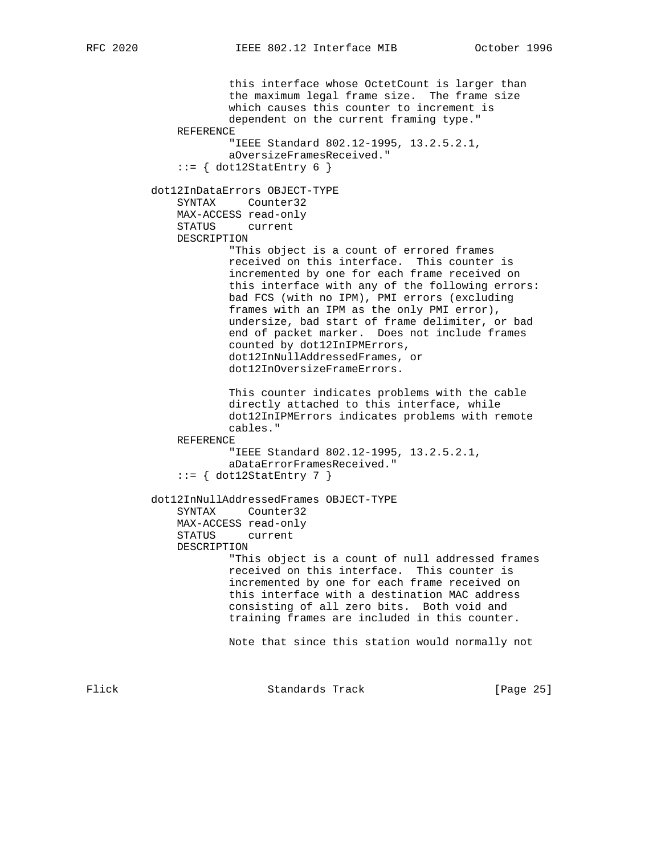this interface whose OctetCount is larger than the maximum legal frame size. The frame size which causes this counter to increment is dependent on the current framing type." REFERENCE "IEEE Standard 802.12-1995, 13.2.5.2.1, aOversizeFramesReceived."  $::=$  { dot12StatEntry 6 } dot12InDataErrors OBJECT-TYPE SYNTAX Counter32 MAX-ACCESS read-only STATUS current DESCRIPTION "This object is a count of errored frames received on this interface. This counter is incremented by one for each frame received on this interface with any of the following errors: bad FCS (with no IPM), PMI errors (excluding frames with an IPM as the only PMI error), undersize, bad start of frame delimiter, or bad end of packet marker. Does not include frames counted by dot12InIPMErrors, dot12InNullAddressedFrames, or dot12InOversizeFrameErrors. This counter indicates problems with the cable directly attached to this interface, while dot12InIPMErrors indicates problems with remote cables." REFERENCE "IEEE Standard 802.12-1995, 13.2.5.2.1, aDataErrorFramesReceived."  $::= \{ dot12StatEntry 7 \}$  dot12InNullAddressedFrames OBJECT-TYPE SYNTAX Counter32 MAX-ACCESS read-only STATUS current DESCRIPTION "This object is a count of null addressed frames received on this interface. This counter is incremented by one for each frame received on this interface with a destination MAC address consisting of all zero bits. Both void and training frames are included in this counter. Note that since this station would normally not

Flick **Standards Track** [Page 25]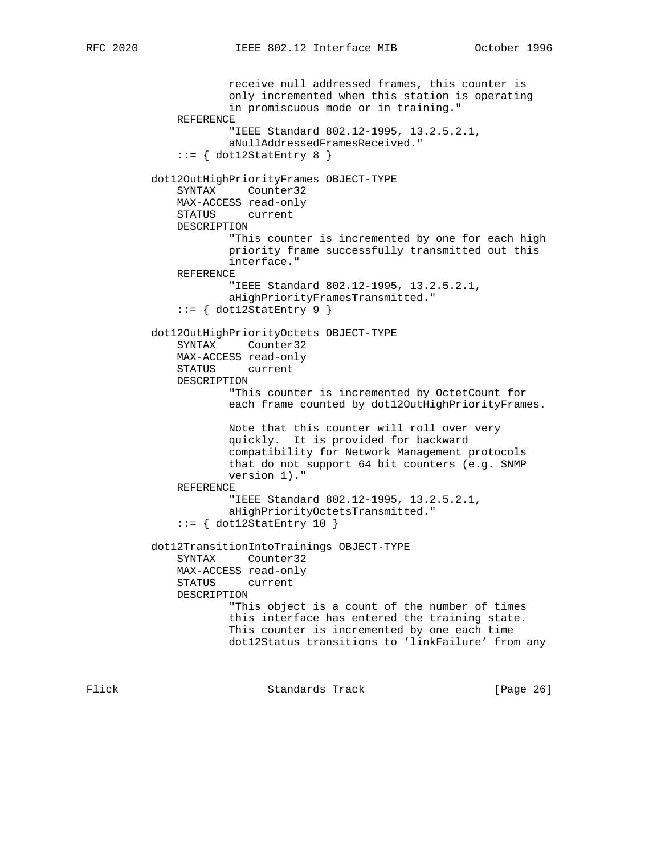```
 receive null addressed frames, this counter is
             only incremented when this station is operating
             in promiscuous mode or in training."
     REFERENCE
             "IEEE Standard 802.12-1995, 13.2.5.2.1,
             aNullAddressedFramesReceived."
    ::= { dot12StatEntry 8 }
 dot12OutHighPriorityFrames OBJECT-TYPE
     SYNTAX Counter32
     MAX-ACCESS read-only
     STATUS current
     DESCRIPTION
             "This counter is incremented by one for each high
             priority frame successfully transmitted out this
             interface."
     REFERENCE
             "IEEE Standard 802.12-1995, 13.2.5.2.1,
             aHighPriorityFramesTransmitted."
    ::= \{ dot12StatEntry 9 \} dot12OutHighPriorityOctets OBJECT-TYPE
     SYNTAX Counter32
     MAX-ACCESS read-only
     STATUS current
     DESCRIPTION
             "This counter is incremented by OctetCount for
            each frame counted by dot12OutHighPriorityFrames.
             Note that this counter will roll over very
             quickly. It is provided for backward
             compatibility for Network Management protocols
             that do not support 64 bit counters (e.g. SNMP
             version 1)."
     REFERENCE
             "IEEE Standard 802.12-1995, 13.2.5.2.1,
             aHighPriorityOctetsTransmitted."
    ::= { dot12StatEntry 10 }
 dot12TransitionIntoTrainings OBJECT-TYPE
     SYNTAX Counter32
     MAX-ACCESS read-only
     STATUS current
     DESCRIPTION
             "This object is a count of the number of times
             this interface has entered the training state.
             This counter is incremented by one each time
             dot12Status transitions to 'linkFailure' from any
```
Flick **Standards Track** [Page 26]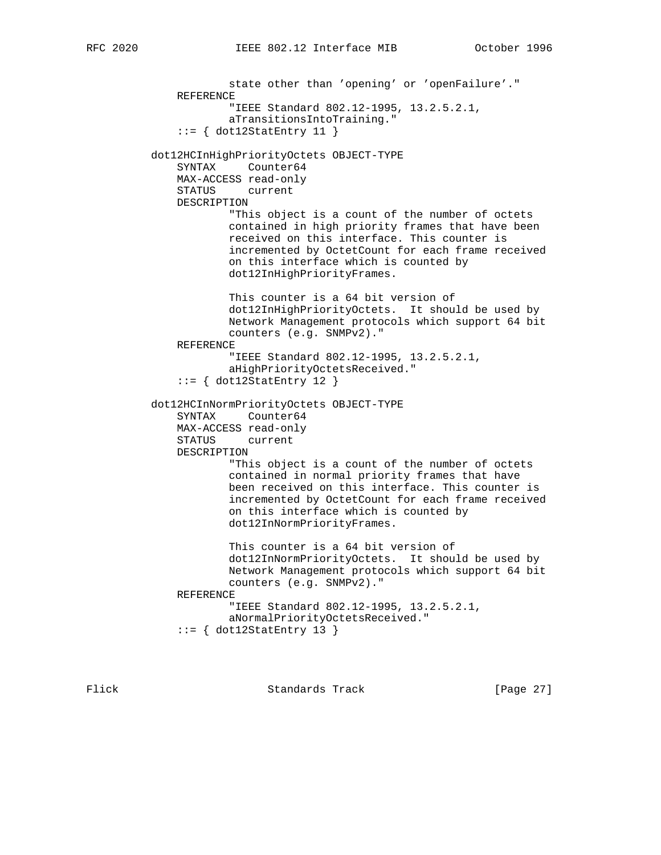state other than 'opening' or 'openFailure'." REFERENCE "IEEE Standard 802.12-1995, 13.2.5.2.1, aTransitionsIntoTraining."  $::=$  { dot12StatEntry 11 } dot12HCInHighPriorityOctets OBJECT-TYPE SYNTAX Counter64 MAX-ACCESS read-only STATUS current DESCRIPTION "This object is a count of the number of octets contained in high priority frames that have been received on this interface. This counter is incremented by OctetCount for each frame received on this interface which is counted by dot12InHighPriorityFrames. This counter is a 64 bit version of dot12InHighPriorityOctets. It should be used by Network Management protocols which support 64 bit counters (e.g. SNMPv2)." REFERENCE "IEEE Standard 802.12-1995, 13.2.5.2.1, aHighPriorityOctetsReceived."  $::=$  { dot12StatEntry 12 } dot12HCInNormPriorityOctets OBJECT-TYPE SYNTAX Counter64 MAX-ACCESS read-only STATUS current DESCRIPTION "This object is a count of the number of octets contained in normal priority frames that have been received on this interface. This counter is incremented by OctetCount for each frame received on this interface which is counted by dot12InNormPriorityFrames. This counter is a 64 bit version of dot12InNormPriorityOctets. It should be used by Network Management protocols which support 64 bit counters (e.g. SNMPv2)." REFERENCE "IEEE Standard 802.12-1995, 13.2.5.2.1, aNormalPriorityOctetsReceived."  $::=$  { dot12StatEntry 13 }

Flick **Standards Track** [Page 27]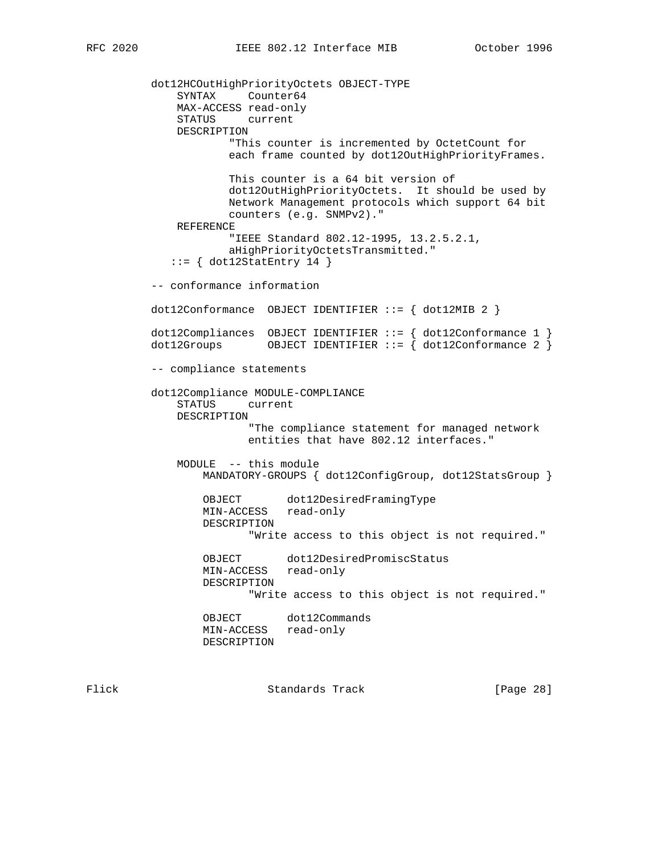```
 dot12HCOutHighPriorityOctets OBJECT-TYPE
     SYNTAX Counter64
     MAX-ACCESS read-only
     STATUS current
     DESCRIPTION
             "This counter is incremented by OctetCount for
            each frame counted by dot12OutHighPriorityFrames.
            This counter is a 64 bit version of
            dot12OutHighPriorityOctets. It should be used by
            Network Management protocols which support 64 bit
            counters (e.g. SNMPv2)."
     REFERENCE
             "IEEE Standard 802.12-1995, 13.2.5.2.1,
             aHighPriorityOctetsTransmitted."
   ::= { dot12StatEntry 14 }
 -- conformance information
dot12Conformance OBJECT IDENTIFIER ::= { dot12MIB 2 }
dot12Compliances OBJECT IDENTIFIER ::= { dot12Conformance 1 }
dot12Groups 0BJECT IDENTIFIER ::= { dot12Conformance 2 }
 -- compliance statements
 dot12Compliance MODULE-COMPLIANCE
     STATUS current
     DESCRIPTION
               "The compliance statement for managed network
               entities that have 802.12 interfaces."
     MODULE -- this module
        MANDATORY-GROUPS { dot12ConfigGroup, dot12StatsGroup }
         OBJECT dot12DesiredFramingType
        MIN-ACCESS read-only
        DESCRIPTION
               "Write access to this object is not required."
        OBJECT dot12DesiredPromiscStatus
        MIN-ACCESS read-only
        DESCRIPTION
               "Write access to this object is not required."
        OBJECT dot12Commands
        MIN-ACCESS read-only
        DESCRIPTION
```
Flick Standards Track [Page 28]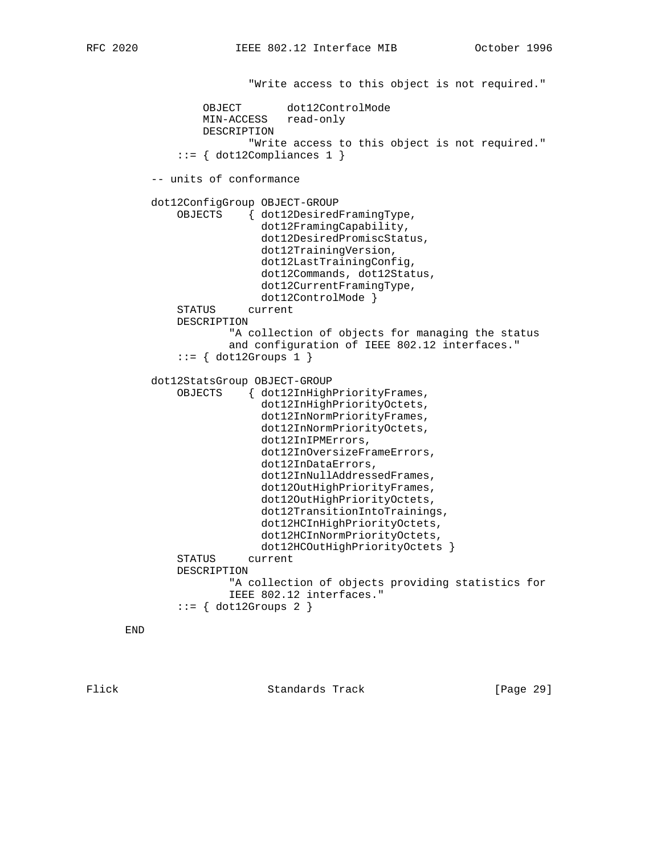"Write access to this object is not required."

 OBJECT dot12ControlMode MIN-ACCESS read-only DESCRIPTION "Write access to this object is not required."  $::= \{ dot12Compliances 1 \}$  -- units of conformance dot12ConfigGroup OBJECT-GROUP OBJECTS { dot12DesiredFramingType, dot12FramingCapability, dot12DesiredPromiscStatus, dot12TrainingVersion, dot12LastTrainingConfig, dot12Commands, dot12Status, dot12CurrentFramingType, dot12ControlMode } STATUS current DESCRIPTION "A collection of objects for managing the status and configuration of IEEE 802.12 interfaces."  $::=$  { dot12Groups 1 } dot12StatsGroup OBJECT-GROUP OBJECTS { dot12InHighPriorityFrames, dot12InHighPriorityOctets, dot12InNormPriorityFrames, dot12InNormPriorityOctets, dot12InIPMErrors, dot12InOversizeFrameErrors, dot12InDataErrors, dot12InNullAddressedFrames, dot12OutHighPriorityFrames, dot12OutHighPriorityOctets, dot12TransitionIntoTrainings, dot12HCInHighPriorityOctets, dot12HCInNormPriorityOctets, dot12HCOutHighPriorityOctets } STATUS current DESCRIPTION "A collection of objects providing statistics for IEEE 802.12 interfaces."  $::=$  { dot12Groups 2 }

END

Flick Standards Track [Page 29]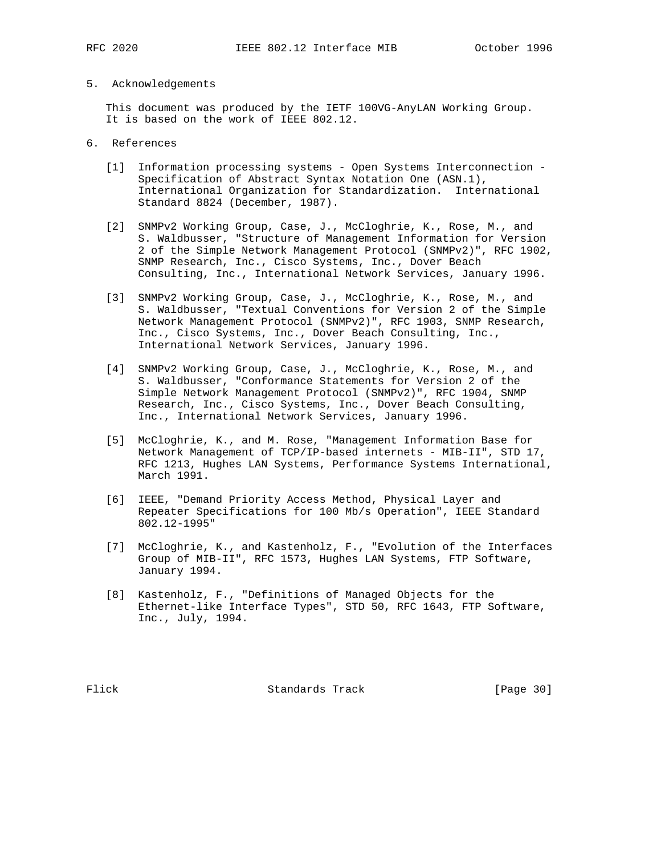#### 5. Acknowledgements

 This document was produced by the IETF 100VG-AnyLAN Working Group. It is based on the work of IEEE 802.12.

- 6. References
	- [1] Information processing systems Open Systems Interconnection Specification of Abstract Syntax Notation One (ASN.1), International Organization for Standardization. International Standard 8824 (December, 1987).
	- [2] SNMPv2 Working Group, Case, J., McCloghrie, K., Rose, M., and S. Waldbusser, "Structure of Management Information for Version 2 of the Simple Network Management Protocol (SNMPv2)", RFC 1902, SNMP Research, Inc., Cisco Systems, Inc., Dover Beach Consulting, Inc., International Network Services, January 1996.
	- [3] SNMPv2 Working Group, Case, J., McCloghrie, K., Rose, M., and S. Waldbusser, "Textual Conventions for Version 2 of the Simple Network Management Protocol (SNMPv2)", RFC 1903, SNMP Research, Inc., Cisco Systems, Inc., Dover Beach Consulting, Inc., International Network Services, January 1996.
	- [4] SNMPv2 Working Group, Case, J., McCloghrie, K., Rose, M., and S. Waldbusser, "Conformance Statements for Version 2 of the Simple Network Management Protocol (SNMPv2)", RFC 1904, SNMP Research, Inc., Cisco Systems, Inc., Dover Beach Consulting, Inc., International Network Services, January 1996.
	- [5] McCloghrie, K., and M. Rose, "Management Information Base for Network Management of TCP/IP-based internets - MIB-II", STD 17, RFC 1213, Hughes LAN Systems, Performance Systems International, March 1991.
	- [6] IEEE, "Demand Priority Access Method, Physical Layer and Repeater Specifications for 100 Mb/s Operation", IEEE Standard 802.12-1995"
	- [7] McCloghrie, K., and Kastenholz, F., "Evolution of the Interfaces Group of MIB-II", RFC 1573, Hughes LAN Systems, FTP Software, January 1994.
	- [8] Kastenholz, F., "Definitions of Managed Objects for the Ethernet-like Interface Types", STD 50, RFC 1643, FTP Software, Inc., July, 1994.

Flick Standards Track [Page 30]